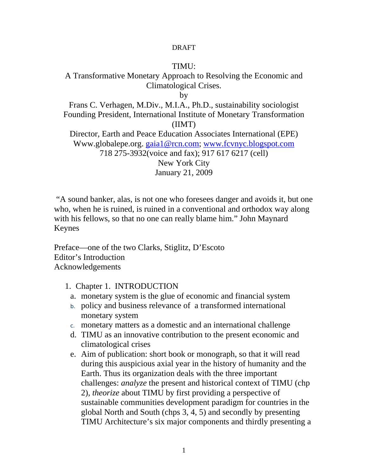#### DRAFT

#### TIMU:

# A Transformative Monetary Approach to Resolving the Economic and Climatological Crises.

by

Frans C. Verhagen, M.Div., M.I.A., Ph.D., sustainability sociologist Founding President, International Institute of Monetary Transformation (IIMT) Director, Earth and Peace Education Associates International (EPE) Www.globalepe.org. gaia1@rcn.com; www.fcvnyc.blogspot.com

718 275-3932(voice and fax); 917 617 6217 (cell)

New York City January 21, 2009

 "A sound banker, alas, is not one who foresees danger and avoids it, but one who, when he is ruined, is ruined in a conventional and orthodox way along with his fellows, so that no one can really blame him." John Maynard Keynes

Preface—one of the two Clarks, Stiglitz, D'Escoto Editor's Introduction Acknowledgements

- 1. Chapter 1. INTRODUCTION
	- a. monetary system is the glue of economic and financial system
	- b. policy and business relevance of a transformed international monetary system
	- c. monetary matters as a domestic and an international challenge
	- d. TIMU as an innovative contribution to the present economic and climatological crises
	- e. Aim of publication: short book or monograph, so that it will read during this auspicious axial year in the history of humanity and the Earth. Thus its organization deals with the three important challenges: *analyze* the present and historical context of TIMU (chp 2), *theorize* about TIMU by first providing a perspective of sustainable communities development paradigm for countries in the global North and South (chps 3, 4, 5) and secondly by presenting TIMU Architecture's six major components and thirdly presenting a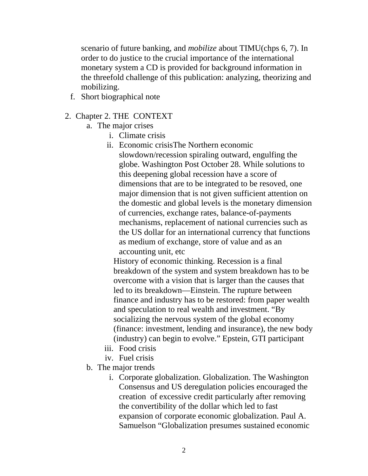scenario of future banking, and *mobilize* about TIMU(chps 6, 7). In order to do justice to the crucial importance of the international monetary system a CD is provided for background information in the threefold challenge of this publication: analyzing, theorizing and mobilizing.

f. Short biographical note

## 2. Chapter 2. THE CONTEXT

- a. The major crises
	- i. Climate crisis
	- ii. Economic crisisThe Northern economic slowdown/recession spiraling outward, engulfing the globe. Washington Post October 28. While solutions to this deepening global recession have a score of dimensions that are to be integrated to be resoved, one major dimension that is not given sufficient attention on the domestic and global levels is the monetary dimension of currencies, exchange rates, balance-of-payments mechanisms, replacement of national currencies such as the US dollar for an international currency that functions as medium of exchange, store of value and as an accounting unit, etc

History of economic thinking. Recession is a final breakdown of the system and system breakdown has to be overcome with a vision that is larger than the causes that led to its breakdown—Einstein. The rupture between finance and industry has to be restored: from paper wealth and speculation to real wealth and investment. "By socializing the nervous system of the global economy (finance: investment, lending and insurance), the new body (industry) can begin to evolve." Epstein, GTI participant

- iii. Food crisis
- iv. Fuel crisis
- b. The major trends
	- i. Corporate globalization. Globalization. The Washington Consensus and US deregulation policies encouraged the creation of excessive credit particularly after removing the convertibility of the dollar which led to fast expansion of corporate economic globalization. Paul A. Samuelson "Globalization presumes sustained economic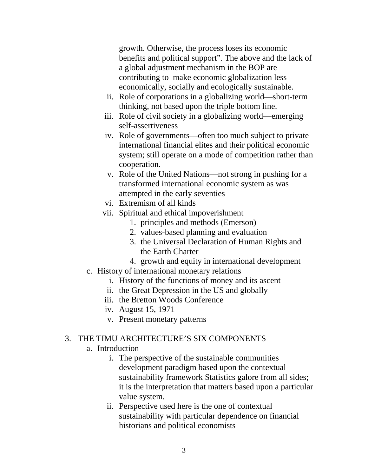growth. Otherwise, the process loses its economic benefits and political support". The above and the lack of a global adjustment mechanism in the BOP are contributing to make economic globalization less economically, socially and ecologically sustainable.

- ii. Role of corporations in a globalizing world—short-term thinking, not based upon the triple bottom line.
- iii. Role of civil society in a globalizing world—emerging self-assertiveness
- iv. Role of governments—often too much subject to private international financial elites and their political economic system; still operate on a mode of competition rather than cooperation.
- v. Role of the United Nations—not strong in pushing for a transformed international economic system as was attempted in the early seventies
- vi. Extremism of all kinds
- vii. Spiritual and ethical impoverishment
	- 1. principles and methods (Emerson)
	- 2. values-based planning and evaluation
	- 3. the Universal Declaration of Human Rights and the Earth Charter
	- 4. growth and equity in international development
- c. History of international monetary relations
	- i. History of the functions of money and its ascent
	- ii. the Great Depression in the US and globally
	- iii. the Bretton Woods Conference
	- iv. August 15, 1971
	- v. Present monetary patterns

## 3. THE TIMU ARCHITECTURE'S SIX COMPONENTS

- a. Introduction
	- i. The perspective of the sustainable communities development paradigm based upon the contextual sustainability framework Statistics galore from all sides; it is the interpretation that matters based upon a particular value system.
	- ii. Perspective used here is the one of contextual sustainability with particular dependence on financial historians and political economists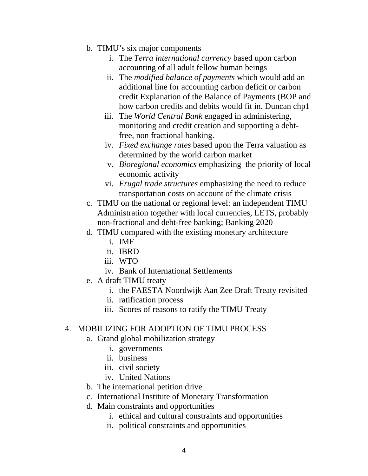- b. TIMU's six major components
	- i. The *Terra international currency* based upon carbon accounting of all adult fellow human beings
	- ii. The *modified balance of payments* which would add an additional line for accounting carbon deficit or carbon credit Explanation of the Balance of Payments (BOP and how carbon credits and debits would fit in. Duncan chp1
	- iii. The *World Central Bank* engaged in administering, monitoring and credit creation and supporting a debtfree, non fractional banking.
	- iv. *Fixed exchange rates* based upon the Terra valuation as determined by the world carbon market
	- v. *Bioregional economics* emphasizing the priority of local economic activity
	- vi. *Frugal trade structures* emphasizing the need to reduce transportation costs on account of the climate crisis
- c. TIMU on the national or regional level: an independent TIMU Administration together with local currencies, LETS, probably non-fractional and debt-free banking; Banking 2020
- d. TIMU compared with the existing monetary architecture
	- i. IMF
	- ii. IBRD
	- iii. WTO
	- iv. Bank of International Settlements
- e. A draft TIMU treaty
	- i. the FAESTA Noordwijk Aan Zee Draft Treaty revisited
	- ii. ratification process
	- iii. Scores of reasons to ratify the TIMU Treaty

### 4. MOBILIZING FOR ADOPTION OF TIMU PROCESS

- a. Grand global mobilization strategy
	- i. governments
	- ii. business
	- iii. civil society
	- iv. United Nations
- b. The international petition drive
- c. International Institute of Monetary Transformation
- d. Main constraints and opportunities
	- i. ethical and cultural constraints and opportunities
	- ii. political constraints and opportunities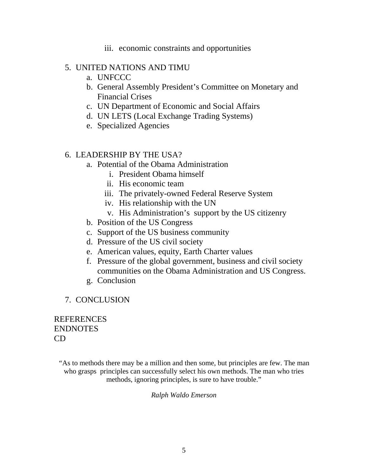iii. economic constraints and opportunities

## 5. UNITED NATIONS AND TIMU

- a. UNFCCC
- b. General Assembly President's Committee on Monetary and Financial Crises
- c. UN Department of Economic and Social Affairs
- d. UN LETS (Local Exchange Trading Systems)
- e. Specialized Agencies

## 6. LEADERSHIP BY THE USA?

- a. Potential of the Obama Administration
	- i. President Obama himself
	- ii. His economic team
	- iii. The privately-owned Federal Reserve System
	- iv. His relationship with the UN
	- v. His Administration's support by the US citizenry
- b. Position of the US Congress
- c. Support of the US business community
- d. Pressure of the US civil society
- e. American values, equity, Earth Charter values
- f. Pressure of the global government, business and civil society communities on the Obama Administration and US Congress.
- g. Conclusion
- 7. CONCLUSION

**REFERENCES** ENDNOTES CD

*"*As to methods there may be a million and then some, but principles are few. The man who grasps principles can successfully select his own methods. The man who tries methods, ignoring principles, is sure to have trouble."

*Ralph Waldo Emerson*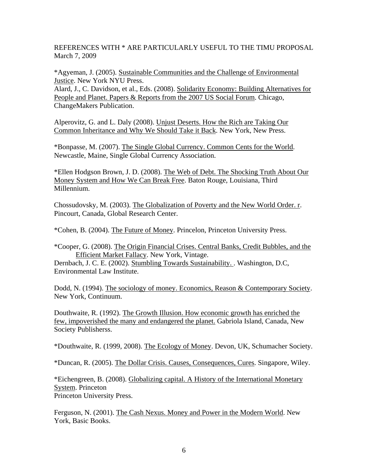REFERENCES WITH \* ARE PARTICULARLY USEFUL TO THE TIMU PROPOSAL March 7, 2009

\*Agyeman, J. (2005). Sustainable Communities and the Challenge of Environmental Justice. New York NYU Press.

Alard, J., C. Davidson, et al., Eds. (2008). Solidarity Economy: Building Alternatives for People and Planet. Papers & Reports from the 2007 US Social Forum. Chicago, ChangeMakers Publication.

Alperovitz, G. and L. Daly (2008). Unjust Deserts. How the Rich are Taking Our Common Inheritance and Why We Should Take it Back. New York, New Press.

\*Bonpasse, M. (2007). The Single Global Currency. Common Cents for the World. Newcastle, Maine, Single Global Currency Association.

\*Ellen Hodgson Brown, J. D. (2008). The Web of Debt. The Shocking Truth About Our Money System and How We Can Break Free. Baton Rouge, Louisiana, Third Millennium.

Chossudovsky, M. (2003). The Globalization of Poverty and the New World Order. r. Pincourt, Canada, Global Research Center.

\*Cohen, B. (2004). The Future of Money. Princelon, Princeton University Press.

Dernbach, J. C. E. (2002). Stumbling Towards Sustainability. . Washington, D.C, Environmental Law Institute.

Dodd, N. (1994). The sociology of money. Economics, Reason & Contemporary Society. New York, Continuum.

Douthwaite, R. (1992). The Growth Illusion. How economic growth has enriched the few, impoverished the many and endangered the planet. Gabriola Island, Canada, New Society Publisherss.

\*Douthwaite, R. (1999, 2008). The Ecology of Money. Devon, UK, Schumacher Society.

\*Duncan, R. (2005). The Dollar Crisis. Causes, Consequences, Cures. Singapore, Wiley.

\*Eichengreen, B. (2008). Globalizing capital. A History of the International Monetary System. Princeton Princeton University Press.

Ferguson, N. (2001). The Cash Nexus. Money and Power in the Modern World. New York, Basic Books.

<sup>\*</sup>Cooper, G. (2008). The Origin Financial Crises. Central Banks, Credit Bubbles, and the Efficient Market Fallacy. New York, Vintage.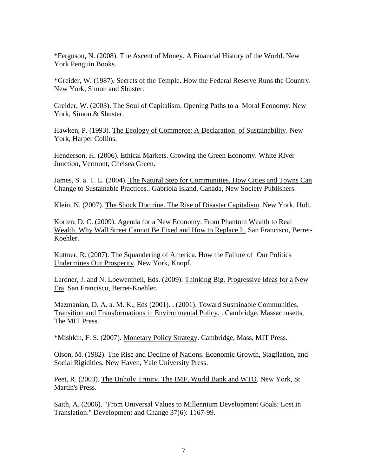\*Ferguson, N. (2008). The Ascent of Money. A Financial History of the World. New York Penguin Books.

\*Greider, W. (1987). Secrets of the Temple. How the Federal Reserve Runs the Country. New York, Simon and Shuster.

Greider, W. (2003). The Soul of Capitalism. Opening Paths to a Moral Economy. New York, Simon & Shuster.

Hawken, P. (1993). The Ecology of Commerce: A Declaration of Sustainability. New York, Harper Collins.

Henderson, H. (2006). Ethical Markets. Growing the Green Economy. White RIver Junction, Vermont, Chelsea Green.

James, S. a. T. L. (2004). The Natural Step for Communities. How Cities and Towns Can Change to Sustainable Practices.. Gabriola Island, Canada, New Society Publishers.

Klein, N. (2007). The Shock Doctrine. The Rise of Disaster Capitalism. New York, Holt.

Korten, D. C. (2009). Agenda for a New Economy. From Phantom Wealth to Real Wealth. Why Wall Street Cannot Be Fixed and How to Replace It. San Francisco, Berret-Koehler.

Kuttner, R. (2007). The Squandering of America. How the Failure of Our Politics Undermines Our Prosperity. New York, Knopf.

Lardner, J. and N. Loewentheil, Eds. (2009). Thinking Big. Progressive Ideas for a New Era. San Francisco, Berret-Koehler.

Mazmanian, D. A. a. M. K., Eds (2001). . (2001). Toward Sustainable Communities. Transition and Transformations in Environmental Policy. . Cambridge, Massachusetts, The MIT Press.

\*Mishkin, F. S. (2007). Monetary Policy Strategy. Cambridge, Mass, MIT Press.

Olson, M. (1982). The Rise and Decline of Nations. Economic Growth, Stagflation, and Social Rigidities. New Haven, Yale University Press.

Peet, R. (2003). The Unholy Trinity. The IMF, World Bank and WTO. New York, St Martin's Press.

Saith, A. (2006). "From Universal Values to Millennium Development Goals: Lost in Translation." Development and Change 37(6): 1167-99.